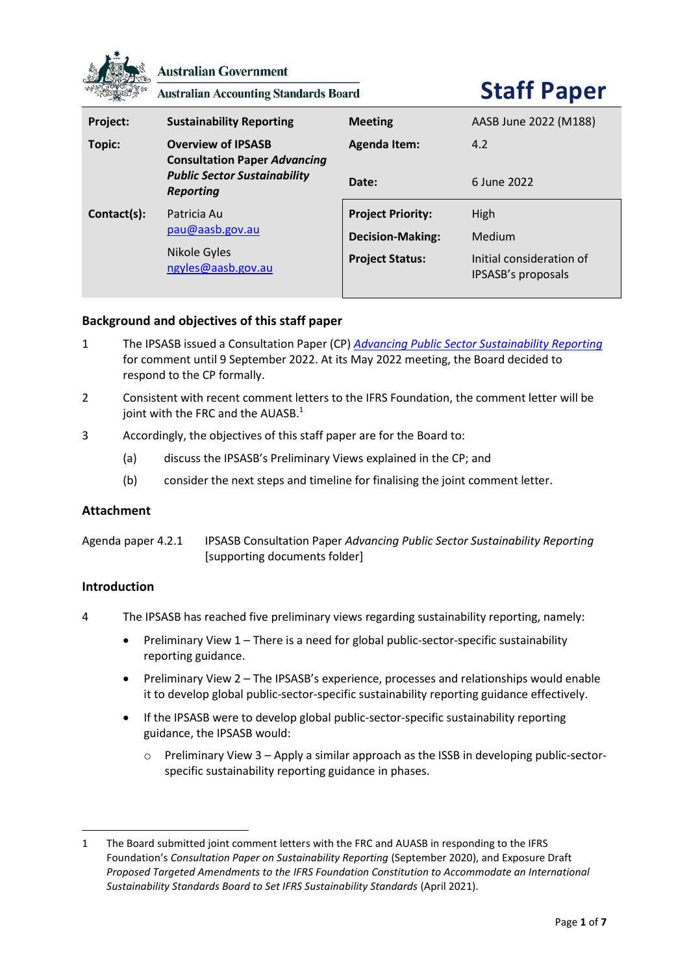

**Australian Government** 

**Australian Accounting Standards Board** 

# **Staff Paper**

| Project:    | <b>Sustainability Reporting</b>                                                                                             | <b>Meeting</b>                                                                | AASB June 2022 (M188)                                            |
|-------------|-----------------------------------------------------------------------------------------------------------------------------|-------------------------------------------------------------------------------|------------------------------------------------------------------|
| Topic:      | <b>Overview of IPSASB</b><br><b>Consultation Paper Advancing</b><br><b>Public Sector Sustainability</b><br><b>Reporting</b> | <b>Agenda Item:</b>                                                           | 4.2                                                              |
|             |                                                                                                                             | Date:                                                                         | 6 June 2022                                                      |
| Contact(s): | Patricia Au<br>pau@aasb.gov.au<br>Nikole Gyles<br>ngyles@aasb.gov.au                                                        | <b>Project Priority:</b><br><b>Decision-Making:</b><br><b>Project Status:</b> | High<br>Medium<br>Initial consideration of<br>IPSASB's proposals |

## **Background and objectives of this staff paper**

- 1 The IPSASB issued a Consultation Paper (CP) *[Advancing Public Sector Sustainability Reporting](https://www.ipsasb.org/publications/consultation-paper-advancing-public-sector-sustainability-reporting)* for comment until 9 September 2022. At its May 2022 meeting, the Board decided to respond to the CP formally.
- 2 Consistent with recent comment letters to the IFRS Foundation, the comment letter will be joint with the FRC and the AUASB. $^1$
- 3 Accordingly, the objectives of this staff paper are for the Board to:
	- (a) discuss the IPSASB's Preliminary Views explained in the CP; and
	- (b) consider the next steps and timeline for finalising the joint comment letter.

## **Attachment**

Agenda paper 4.2.1 IPSASB Consultation Paper *Advancing Public Sector Sustainability Reporting* [supporting documents folder]

## **Introduction**

- 4 The IPSASB has reached five preliminary views regarding sustainability reporting, namely:
	- Preliminary View 1 There is a need for global public-sector-specific sustainability reporting guidance.
	- Preliminary View 2 The IPSASB's experience, processes and relationships would enable it to develop global public-sector-specific sustainability reporting guidance effectively.
	- If the IPSASB were to develop global public-sector-specific sustainability reporting guidance, the IPSASB would:
		- o Preliminary View 3 Apply a similar approach as the ISSB in developing public-sectorspecific sustainability reporting guidance in phases.

<sup>1</sup> The Board submitted joint comment letters with the FRC and AUASB in responding to the IFRS Foundation's *Consultation Paper on Sustainability Reporting* (September 2020), and Exposure Draft *Proposed Targeted Amendments to the IFRS Foundation Constitution to Accommodate an International Sustainability Standards Board to Set IFRS Sustainability Standards* (April 2021).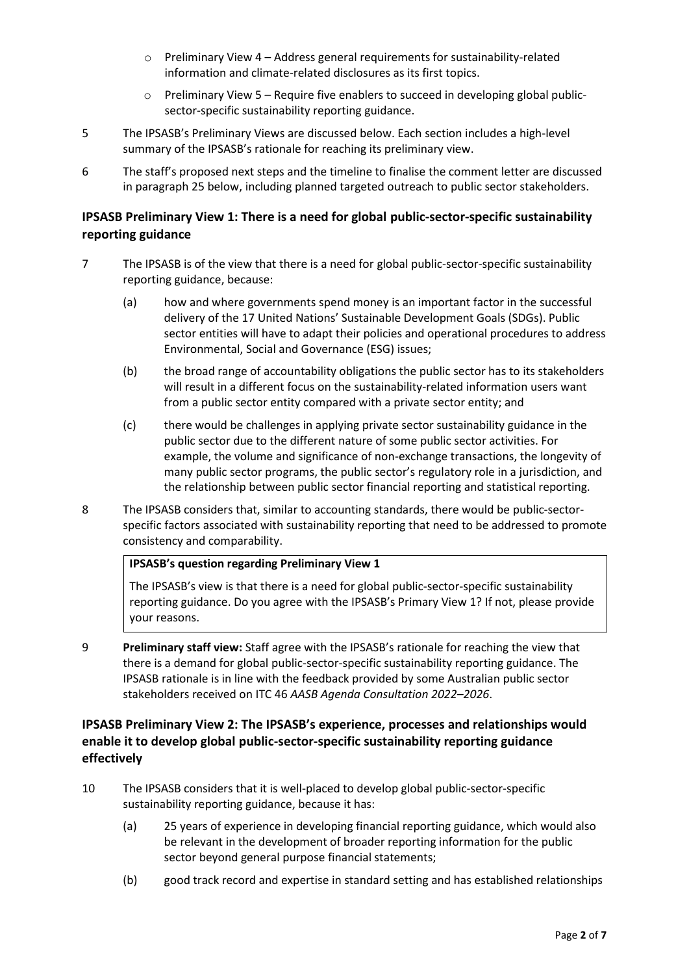- $\circ$  Preliminary View 4 Address general requirements for sustainability-related information and climate-related disclosures as its first topics.
- o Preliminary View 5 Require five enablers to succeed in developing global publicsector-specific sustainability reporting guidance.
- 5 The IPSASB's Preliminary Views are discussed below. Each section includes a high-level summary of the IPSASB's rationale for reaching its preliminary view.
- 6 The staff's proposed next steps and the timeline to finalise the comment letter are discussed in paragraph [25](#page-5-0) below, including planned targeted outreach to public sector stakeholders.

# **IPSASB Preliminary View 1: There is a need for global public-sector-specific sustainability reporting guidance**

- 7 The IPSASB is of the view that there is a need for global public-sector-specific sustainability reporting guidance, because:
	- (a) how and where governments spend money is an important factor in the successful delivery of the 17 United Nations' Sustainable Development Goals (SDGs). Public sector entities will have to adapt their policies and operational procedures to address Environmental, Social and Governance (ESG) issues;
	- (b) the broad range of accountability obligations the public sector has to its stakeholders will result in a different focus on the sustainability-related information users want from a public sector entity compared with a private sector entity; and
	- (c) there would be challenges in applying private sector sustainability guidance in the public sector due to the different nature of some public sector activities. For example, the volume and significance of non-exchange transactions, the longevity of many public sector programs, the public sector's regulatory role in a jurisdiction, and the relationship between public sector financial reporting and statistical reporting.
- 8 The IPSASB considers that, similar to accounting standards, there would be public-sectorspecific factors associated with sustainability reporting that need to be addressed to promote consistency and comparability.

## **IPSASB's question regarding Preliminary View 1**

The IPSASB's view is that there is a need for global public-sector-specific sustainability reporting guidance. Do you agree with the IPSASB's Primary View 1? If not, please provide your reasons.

9 **Preliminary staff view:** Staff agree with the IPSASB's rationale for reaching the view that there is a demand for global public-sector-specific sustainability reporting guidance. The IPSASB rationale is in line with the feedback provided by some Australian public sector stakeholders received on ITC 46 *AASB Agenda Consultation 2022–2026*.

## **IPSASB Preliminary View 2: The IPSASB's experience, processes and relationships would enable it to develop global public-sector-specific sustainability reporting guidance effectively**

- 10 The IPSASB considers that it is well-placed to develop global public-sector-specific sustainability reporting guidance, because it has:
	- (a) 25 years of experience in developing financial reporting guidance, which would also be relevant in the development of broader reporting information for the public sector beyond general purpose financial statements;
	- (b) good track record and expertise in standard setting and has established relationships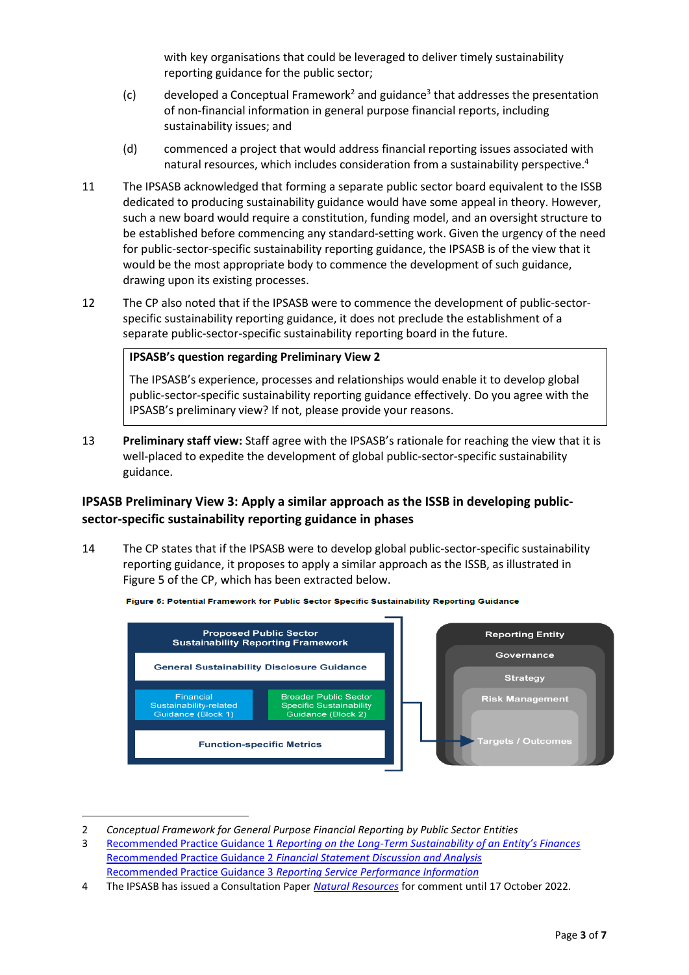with key organisations that could be leveraged to deliver timely sustainability reporting guidance for the public sector;

- (c) developed a Conceptual Framework<sup>2</sup> and guidance<sup>3</sup> that addresses the presentation of non-financial information in general purpose financial reports, including sustainability issues; and
- (d) commenced a project that would address financial reporting issues associated with natural resources, which includes consideration from a sustainability perspective. 4
- 11 The IPSASB acknowledged that forming a separate public sector board equivalent to the ISSB dedicated to producing sustainability guidance would have some appeal in theory. However, such a new board would require a constitution, funding model, and an oversight structure to be established before commencing any standard-setting work. Given the urgency of the need for public-sector-specific sustainability reporting guidance, the IPSASB is of the view that it would be the most appropriate body to commence the development of such guidance, drawing upon its existing processes.
- 12 The CP also noted that if the IPSASB were to commence the development of public-sectorspecific sustainability reporting guidance, it does not preclude the establishment of a separate public-sector-specific sustainability reporting board in the future.

## **IPSASB's question regarding Preliminary View 2**

The IPSASB's experience, processes and relationships would enable it to develop global public-sector-specific sustainability reporting guidance effectively. Do you agree with the IPSASB's preliminary view? If not, please provide your reasons.

13 **Preliminary staff view:** Staff agree with the IPSASB's rationale for reaching the view that it is well-placed to expedite the development of global public-sector-specific sustainability guidance.

# **IPSASB Preliminary View 3: Apply a similar approach as the ISSB in developing publicsector-specific sustainability reporting guidance in phases**

<span id="page-2-0"></span>14 The CP states that if the IPSASB were to develop global public-sector-specific sustainability reporting guidance, it proposes to apply a similar approach as the ISSB, as illustrated in Figure 5 of the CP, which has been extracted below.



Figure 5: Potential Framework for Public Sector Specific Sustainability Reporting Guidance

<sup>2</sup> *Conceptual Framework for General Purpose Financial Reporting by Public Sector Entities*

<sup>3</sup> Recommended Practice Guidance 1 *Reporting on the Long-[Term Sustainability of an Entity's Finances](https://www.ifac.org/system/files/publications/files/C6-RPG-1_2.pdf)*  Recommended Practice Guidance 2 *[Financial Statement Discussion and Analysis](https://www.ifac.org/system/files/publications/files/C7-RPG-2_2.pdf)* Recommended Practice Guidance 3 *[Reporting Service Performance Information](https://www.ifac.org/system/files/publications/files/C8-RPG-3_2.pdf)*

<sup>4</sup> The IPSASB has issued a Consultation Paper *[Natural Resources](https://www.ipsasb.org/publications/consultation-paper-natural-resources)* for comment until 17 October 2022.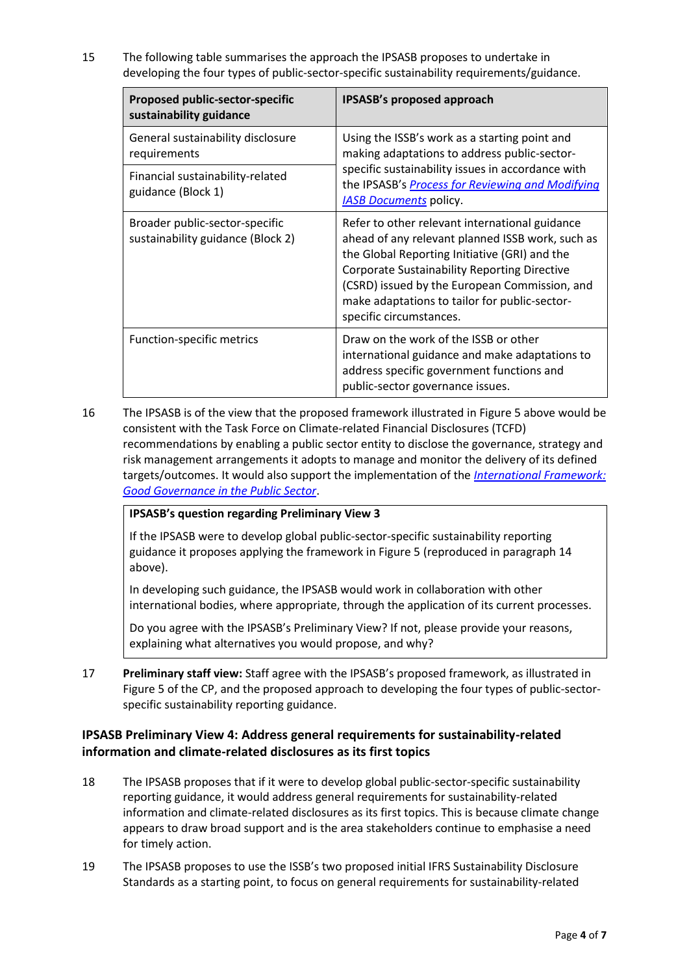15 The following table summarises the approach the IPSASB proposes to undertake in developing the four types of public-sector-specific sustainability requirements/guidance.

| <b>Proposed public-sector-specific</b><br>sustainability guidance   | IPSASB's proposed approach                                                                                                                                                                                                                                                                                                              |  |
|---------------------------------------------------------------------|-----------------------------------------------------------------------------------------------------------------------------------------------------------------------------------------------------------------------------------------------------------------------------------------------------------------------------------------|--|
| General sustainability disclosure<br>requirements                   | Using the ISSB's work as a starting point and<br>making adaptations to address public-sector-<br>specific sustainability issues in accordance with<br>the IPSASB's Process for Reviewing and Modifying<br><b>IASB Documents policy.</b>                                                                                                 |  |
| Financial sustainability-related<br>guidance (Block 1)              |                                                                                                                                                                                                                                                                                                                                         |  |
| Broader public-sector-specific<br>sustainability guidance (Block 2) | Refer to other relevant international guidance<br>ahead of any relevant planned ISSB work, such as<br>the Global Reporting Initiative (GRI) and the<br><b>Corporate Sustainability Reporting Directive</b><br>(CSRD) issued by the European Commission, and<br>make adaptations to tailor for public-sector-<br>specific circumstances. |  |
| <b>Function-specific metrics</b>                                    | Draw on the work of the ISSB or other<br>international guidance and make adaptations to<br>address specific government functions and<br>public-sector governance issues.                                                                                                                                                                |  |

16 The IPSASB is of the view that the proposed framework illustrated in Figure 5 above would be consistent with the Task Force on Climate-related Financial Disclosures (TCFD) recommendations by enabling a public sector entity to disclose the governance, strategy and risk management arrangements it adopts to manage and monitor the delivery of its defined targets/outcomes. It would also support the implementation of the *[International Framework:](https://www.ifac.org/system/files/publications/files/International-Framework-Good-Governance-in-the-Public-Sector-supplement-IFAC-CIPFA-June-2014.pdf)  [Good Governance in the Public Sector](https://www.ifac.org/system/files/publications/files/International-Framework-Good-Governance-in-the-Public-Sector-supplement-IFAC-CIPFA-June-2014.pdf)*.

## **IPSASB's question regarding Preliminary View 3**

If the IPSASB were to develop global public-sector-specific sustainability reporting guidance it proposes applying the framework in Figure 5 (reproduced in paragraph [14](#page-2-0) above).

In developing such guidance, the IPSASB would work in collaboration with other international bodies, where appropriate, through the application of its current processes.

Do you agree with the IPSASB's Preliminary View? If not, please provide your reasons, explaining what alternatives you would propose, and why?

17 **Preliminary staff view:** Staff agree with the IPSASB's proposed framework, as illustrated in Figure 5 of the CP, and the proposed approach to developing the four types of public-sectorspecific sustainability reporting guidance.

# **IPSASB Preliminary View 4: Address general requirements for sustainability-related information and climate-related disclosures as its first topics**

- 18 The IPSASB proposes that if it were to develop global public-sector-specific sustainability reporting guidance, it would address general requirements for sustainability-related information and climate-related disclosures as its first topics. This is because climate change appears to draw broad support and is the area stakeholders continue to emphasise a need for timely action.
- 19 The IPSASB proposes to use the ISSB's two proposed initial IFRS Sustainability Disclosure Standards as a starting point, to focus on general requirements for sustainability-related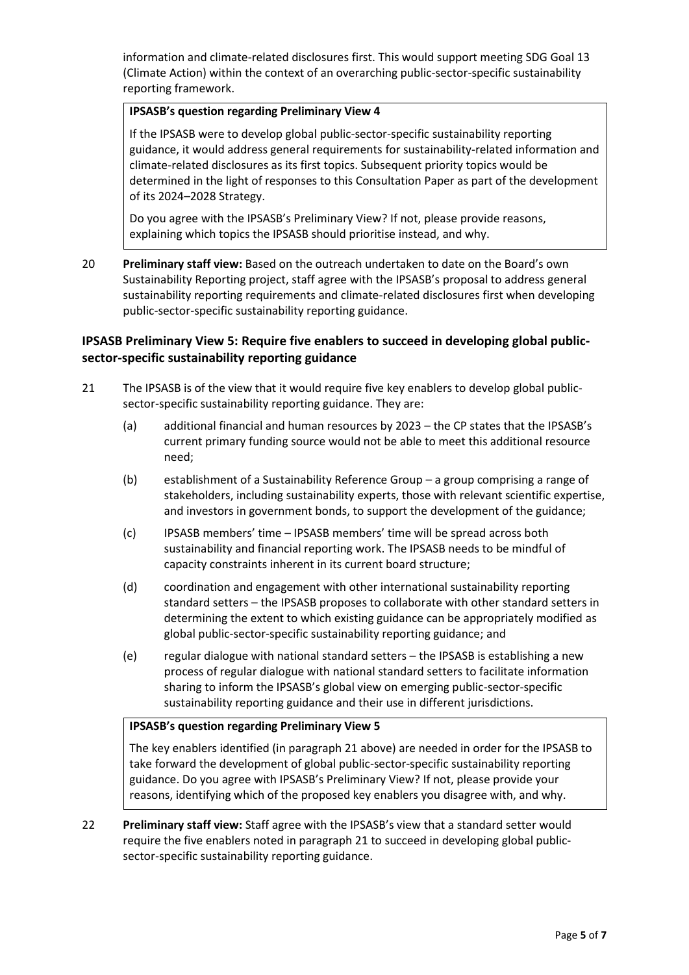information and climate-related disclosures first. This would support meeting SDG Goal 13 (Climate Action) within the context of an overarching public-sector-specific sustainability reporting framework.

## **IPSASB's question regarding Preliminary View 4**

If the IPSASB were to develop global public-sector-specific sustainability reporting guidance, it would address general requirements for sustainability-related information and climate-related disclosures as its first topics. Subsequent priority topics would be determined in the light of responses to this Consultation Paper as part of the development of its 2024–2028 Strategy.

Do you agree with the IPSASB's Preliminary View? If not, please provide reasons, explaining which topics the IPSASB should prioritise instead, and why.

20 **Preliminary staff view:** Based on the outreach undertaken to date on the Board's own Sustainability Reporting project, staff agree with the IPSASB's proposal to address general sustainability reporting requirements and climate-related disclosures first when developing public-sector-specific sustainability reporting guidance.

# **IPSASB Preliminary View 5: Require five enablers to succeed in developing global publicsector-specific sustainability reporting guidance**

- <span id="page-4-0"></span>21 The IPSASB is of the view that it would require five key enablers to develop global publicsector-specific sustainability reporting guidance. They are:
	- (a) additional financial and human resources by 2023 the CP states that the IPSASB's current primary funding source would not be able to meet this additional resource need;
	- (b) establishment of a Sustainability Reference Group a group comprising a range of stakeholders, including sustainability experts, those with relevant scientific expertise, and investors in government bonds, to support the development of the guidance;
	- (c) IPSASB members' time IPSASB members' time will be spread across both sustainability and financial reporting work. The IPSASB needs to be mindful of capacity constraints inherent in its current board structure;
	- (d) coordination and engagement with other international sustainability reporting standard setters – the IPSASB proposes to collaborate with other standard setters in determining the extent to which existing guidance can be appropriately modified as global public-sector-specific sustainability reporting guidance; and
	- (e) regular dialogue with national standard setters the IPSASB is establishing a new process of regular dialogue with national standard setters to facilitate information sharing to inform the IPSASB's global view on emerging public-sector-specific sustainability reporting guidance and their use in different jurisdictions.

## **IPSASB's question regarding Preliminary View 5**

The key enablers identified (in paragraph [21](#page-4-0) above) are needed in order for the IPSASB to take forward the development of global public-sector-specific sustainability reporting guidance. Do you agree with IPSASB's Preliminary View? If not, please provide your reasons, identifying which of the proposed key enablers you disagree with, and why.

22 **Preliminary staff view:** Staff agree with the IPSASB's view that a standard setter would require the five enablers noted in paragraph [21](#page-4-0) to succeed in developing global publicsector-specific sustainability reporting guidance.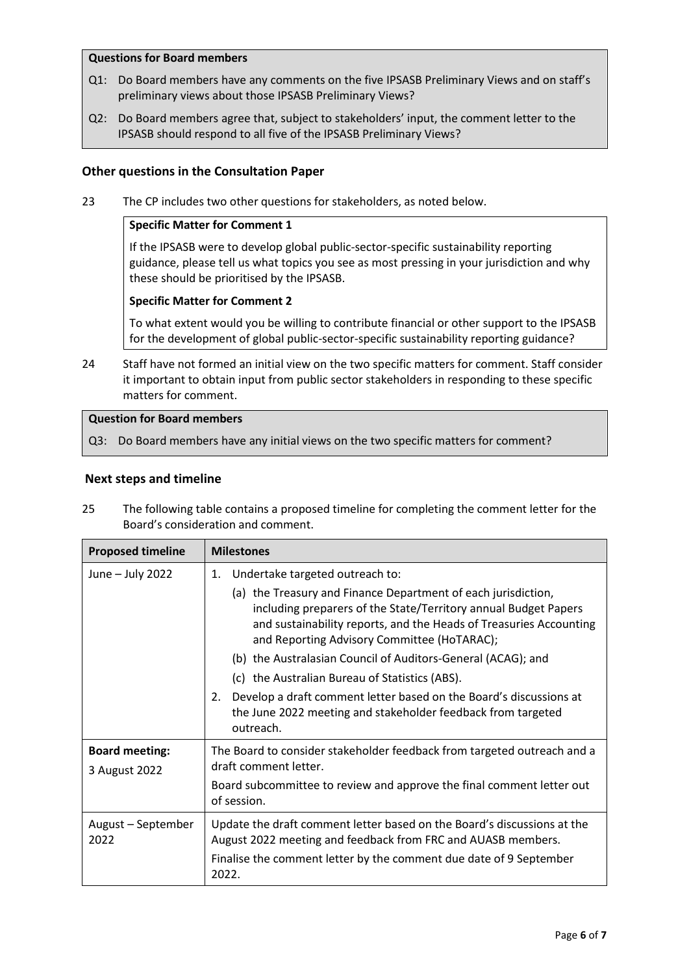## **Questions for Board members**

- Q1: Do Board members have any comments on the five IPSASB Preliminary Views and on staff's preliminary views about those IPSASB Preliminary Views?
- Q2: Do Board members agree that, subject to stakeholders' input, the comment letter to the IPSASB should respond to all five of the IPSASB Preliminary Views?

## **Other questions in the Consultation Paper**

23 The CP includes two other questions for stakeholders, as noted below.

#### **Specific Matter for Comment 1**

If the IPSASB were to develop global public-sector-specific sustainability reporting guidance, please tell us what topics you see as most pressing in your jurisdiction and why these should be prioritised by the IPSASB.

#### **Specific Matter for Comment 2**

To what extent would you be willing to contribute financial or other support to the IPSASB for the development of global public-sector-specific sustainability reporting guidance?

24 Staff have not formed an initial view on the two specific matters for comment. Staff consider it important to obtain input from public sector stakeholders in responding to these specific matters for comment.

#### **Question for Board members**

Q3: Do Board members have any initial views on the two specific matters for comment?

#### **Next steps and timeline**

<span id="page-5-0"></span>25 The following table contains a proposed timeline for completing the comment letter for the Board's consideration and comment.

| <b>Proposed timeline</b>   | <b>Milestones</b>                                                                                                                                                                                                                                     |  |  |
|----------------------------|-------------------------------------------------------------------------------------------------------------------------------------------------------------------------------------------------------------------------------------------------------|--|--|
| June - July 2022           | Undertake targeted outreach to:<br>1.                                                                                                                                                                                                                 |  |  |
|                            | (a) the Treasury and Finance Department of each jurisdiction,<br>including preparers of the State/Territory annual Budget Papers<br>and sustainability reports, and the Heads of Treasuries Accounting<br>and Reporting Advisory Committee (HoTARAC); |  |  |
|                            | (b) the Australasian Council of Auditors-General (ACAG); and                                                                                                                                                                                          |  |  |
|                            | (c) the Australian Bureau of Statistics (ABS).                                                                                                                                                                                                        |  |  |
|                            | Develop a draft comment letter based on the Board's discussions at<br>2.<br>the June 2022 meeting and stakeholder feedback from targeted<br>outreach.                                                                                                 |  |  |
| <b>Board meeting:</b>      | The Board to consider stakeholder feedback from targeted outreach and a                                                                                                                                                                               |  |  |
| 3 August 2022              | draft comment letter.                                                                                                                                                                                                                                 |  |  |
|                            | Board subcommittee to review and approve the final comment letter out<br>of session.                                                                                                                                                                  |  |  |
| August - September<br>2022 | Update the draft comment letter based on the Board's discussions at the<br>August 2022 meeting and feedback from FRC and AUASB members.                                                                                                               |  |  |
|                            | Finalise the comment letter by the comment due date of 9 September<br>2022.                                                                                                                                                                           |  |  |